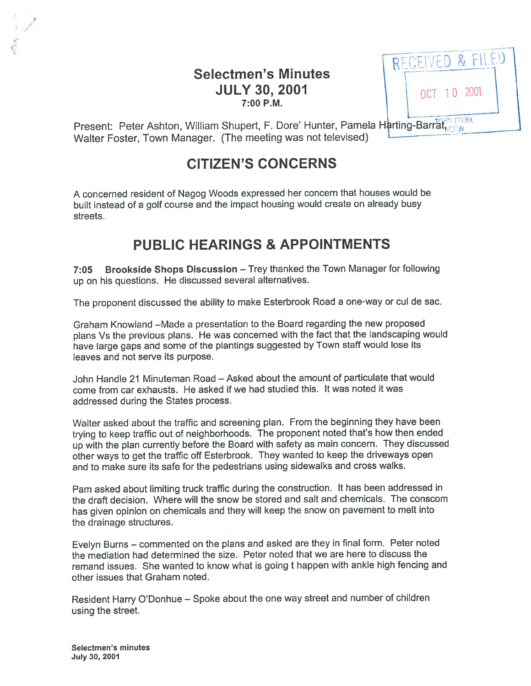# Selectmen's Minutes **JULY 30, 2001 OCT 10 2001** 7:00 P.M.



Present: Peter Ashton, William Shupert, F. Dore' Hunter, Pamela Harting-Barrat, CIERK Walter Foster, Town Manager. (The meeting was not televised)

# CITIZEN'S CONCERNS

<sup>A</sup> concerned resident of Nagog Woods expressed her concern that houses would be built instead of <sup>a</sup> golf course and the impact housing would create on already busy streets.

# PUBLIC HEARINGS & APPOINTMENTS

7:05 Brookside Shops Discussion — Trey thanked the Town Manager for following up on his questions. He discussed several alternatives.

The proponen<sup>t</sup> discussed the ability to make Esterbrook Road <sup>a</sup> one-way or cul de sac.

Graham Knowland —Made <sup>a</sup> presentation to the Board regarding the new proposed <sup>p</sup>lans Vs the previous <sup>p</sup>lans. He was concerned with the fact that the landscaping would have large gaps and some of the <sup>p</sup>lantings suggested by Town staff would lose its leaves and not serve its purpose.

John Handle 21 Minuteman Road — Asked about the amount of particulate that would come from car exhausts. He asked if we had studied this. It was noted it was addressed during the States process.

Walter asked about the traffic and screening <sup>p</sup>lan. From the beginning they have been trying to keep traffic out of neighborhoods. The proponen<sup>t</sup> noted that's how then ended up with the <sup>p</sup>lan currently before the Board with safety as main concern. They discussed other ways to ge<sup>t</sup> the traffic off Esterbrook. They wanted to keep the driveways open and to make sure its safe for the pedestrians using sidewalks and cross walks.

Pam asked about limiting truck traffic during the construction. It has been addressed in the draft decision. Where will the snow be stored and salt and chemicals. The conscom has <sup>g</sup>iven opinion on chemicals and they will keep the snow on pavemen<sup>t</sup> to melt into the drainage structures.

Evelyn Burns — commented on the <sup>p</sup>lans and asked are they in final form. Peter noted the mediation had determined the size. Peter noted that we are here to discuss the remand issues. She wanted to know what is going <sup>t</sup> happen with ankle high fencing and other issues that Graham noted.

Resident Harry D'Donhue — Spoke about the one way street and number of children using the street.

Selectmen's minutes July 30, 2007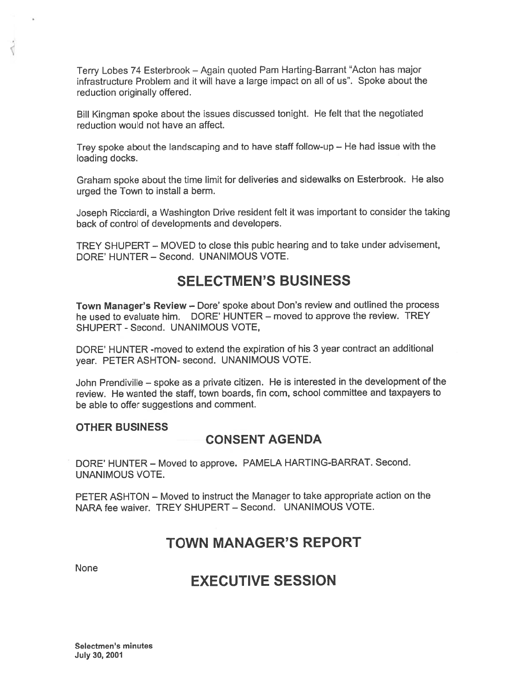Terry Lobes 74 Esterbrook – Again quoted Pam Harting-Barrant "Acton has major infrastructure Problem and it will have <sup>a</sup> large impact on all of us". Spoke about the reduction originally offered.

Bill Kingman spoke about the issues discussed tonight. He felt that the negotiated reduction would not have an affect.

Trey spoke about the landscaping and to have staff follow-up — He had issue with the loading docks.

Graham spoke about the time limit for deliveries and sidewalks on Esterbrook. He also urged the Town to install <sup>a</sup> berm.

Joseph Ricciardi, <sup>a</sup> Washington Drive resident felt it was important to consider the taking back of control of developments and developers.

TREY SHUPERT — MOVED to close this pubic hearing and to take under advisement, DORE' HUNTER — Second. UNANIMOUS VOTE.

# SELECTMEN'S BUSINESS

Town Manager's Review — Dore' spoke about Don's review and outlined the process he used to evaluate him. DORE' HUNTER — moved to approve the review. TREY SHUPERT - Second. UNANIMOUS VOTE,

DORE' HUNTER -moved to extend the expiration of his 3 year contract an additional year. PETER ASHTON- second. UNANIMOUS VOTE.

John Prendiville — spoke as <sup>a</sup> private citizen. He is interested in the development of the review. He wanted the staff, town boards, fin com, school committee and taxpayers to be able to offer suggestions and comment.

#### OTHER BUSINESS

## CONSENT AGENDA

DORE' HUNTER — Moved to approve. PAMELA HARTING-BARRAT. Second. UNANIMOUS VOTE.

PETER ASHTON — Moved to instruct the Manager to take appropriate action on the NARA fee waiver. TREY SHUPERT — Second. UNANIMOUS VOTE.

# TOWN MANAGER'S REPORT

None

₫

# EXECUTIVE SESSION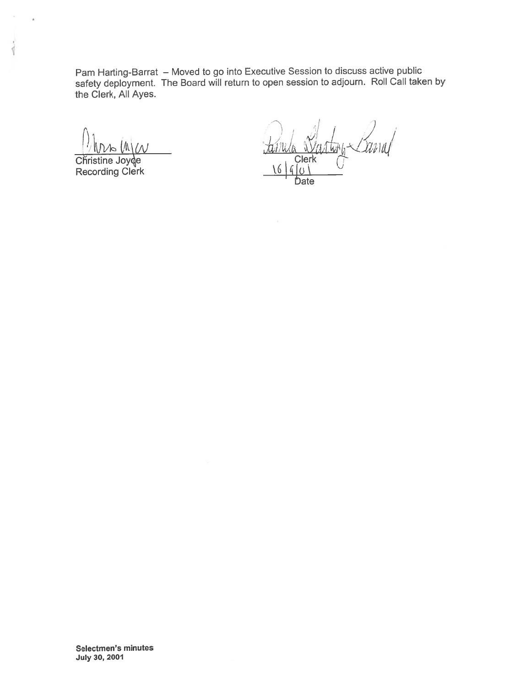Pam Harting-Barrat — Moved to go into Executive Session to discuss active public safety deployment. The Board will return to open session to adjourn. Roll Call taken by the Clerk, All Ayes.

Recording Clerk  $\frac{16}{60}$ 

.

 $\overline{\sqrt{2}}$ 

/  $\mathcal{V}$  '  $\mathcal{V}$  '  $\mathcal{V}$  $\pi$   $\mathbb{Z}$  14  $\mathbb{Z}$  14  $\mathbb{Z}$  14  $\mathbb{Z}$  14  $\mathbb{Z}$  14  $\mathbb{Z}$  14  $\mathbb{Z}$  $\blacksquare$ Christine Joy $\lozenge$ e Clerk fl

Selectmen's minutes July 30, 2001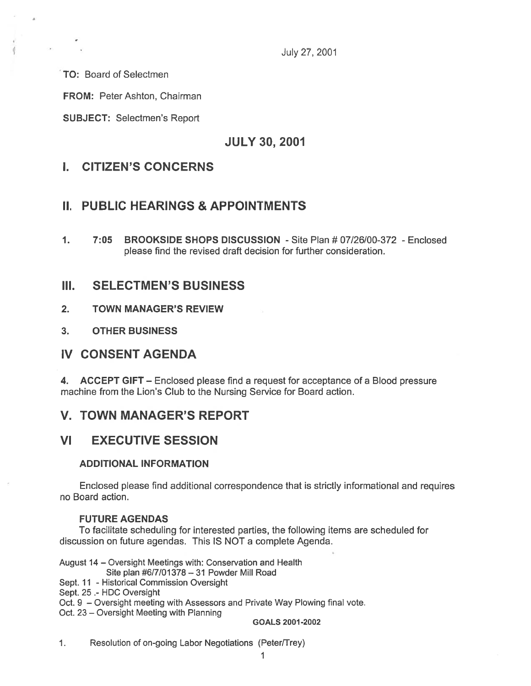July 27, 2001

TO: Board of Selectmen

FROM: Peter Ashton, Chairman

SUBJECT: Selectmen's Report

JULY 30, 2001

## I. CITIZEN'S CONCERNS

## II. PUBLIC HEARINGS & APPOINTMENTS

1. 7:05 BROOKSIDE SHOPS DISCUSSION - Site Plan # 07/26/00-372 - Enclosed please find the revised draft decision for further consideration.

## III. SELECTMEN'S BUSINESS

- 2. TOWN MANAGER'S REVIEW
- 3. OTHER BUSINESS

## IV CONSENT AGENDA

4. ACCEPT GIFT — Enclosed please find <sup>a</sup> reques<sup>t</sup> for acceptance of <sup>a</sup> Blood pressure machine from the Lion's Club to the Nursing Service for Board action.

## V. TOWN MANAGER'S REPORT

## VI EXECUTIVE SESSION

### ADDITIONAL INFORMATION

Enclosed please find additional correspondence that is strictly informational and requires no Board action.

### FUTURE AGENDAS

To facilitate scheduling for interested parties, the following items are scheduled for discussion on future agendas. This IS NOT <sup>a</sup> complete Agenda.

August 14 — Oversight Meetings with: Conservation and Health

Site plan #6/7/01378—31 Powder Mill Road

Sept. 11 - Historical Commission Oversight

Sept. 25 .- HDC Oversight

Oct. 9 — Oversight meeting with Assessors and Private Way Plowing final vote.

Oct. 23 — Oversight Meeting with Planning

GOALS 2001-2002

1. Resolution of on-going Labor Negotiations (Peter/Trey)